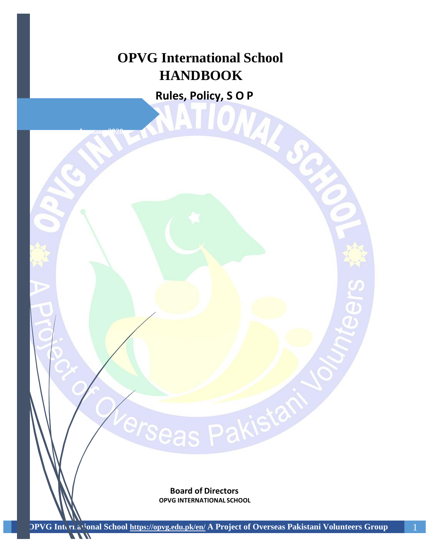# **OPVG International School HANDBOOK**

**Rules, Policy, SO ONE POINTS** 

**1 Juan 2020** 

**Board of Directors OPVG INTERNATIONAL SCHOOL**

erseas Pakistal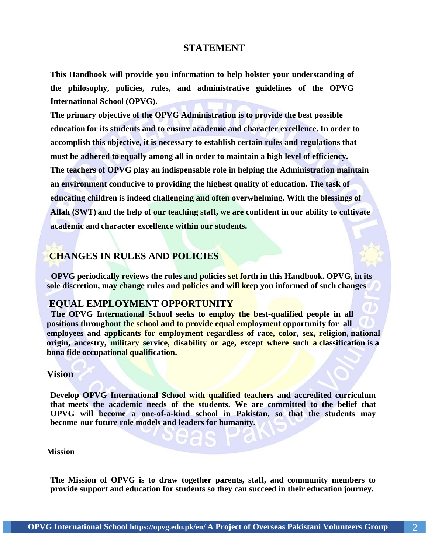#### **STATEMENT**

**This Handbook will provide you information to help bolster your understanding of the philosophy, policies, rules, and administrative guidelines of the OPVG International School (OPVG).**

**The primary objective of the OPVG Administration is to provide the best possible education for its students and to ensure academic and character excellence. In order to accomplish this objective, it is necessary to establish certain rules and regulations that must be adhered to equally among all in order to maintain a high level of efficiency. The teachers of OPVG play an indispensable role in helping the Administration maintain an environment conducive to providing the highest quality of education. The task of educating children is indeed challenging and often overwhelming. With the blessings of Allah (SWT) and the help of our teaching staff, we are confident in our ability to cultivate academic and character excellence within our students.**

# **CHANGES IN RULES AND POLICIES**

 **OPVG periodically reviews the rules and policies set forth in this Handbook. OPVG, in its sole discretion, may change rules and policies and will keep you informed of such changes**

# **EQUAL EMPLOYMENT OPPORTUNITY**

 **The OPVG International School seeks to employ the best-qualified people in all positions throughout the school and to provide equal employment opportunity for all employees and applicants for employment regardless of race, color, sex, religion, national origin, ancestry, military service, disability or age, except where such a classification is a bona fide occupational qualification.**

#### **Vision**

**Develop OPVG International School with qualified teachers and accredited curriculum that meets the academic needs of the students. We are committed to the belief that OPVG will become a one-of-a-kind school in Pakistan, so that the students may become our future role models and leaders for humanity.**

#### **Mission**

**The Mission of OPVG is to draw together parents, staff, and community members to provide support and education for students so they can succeed in their education journey.**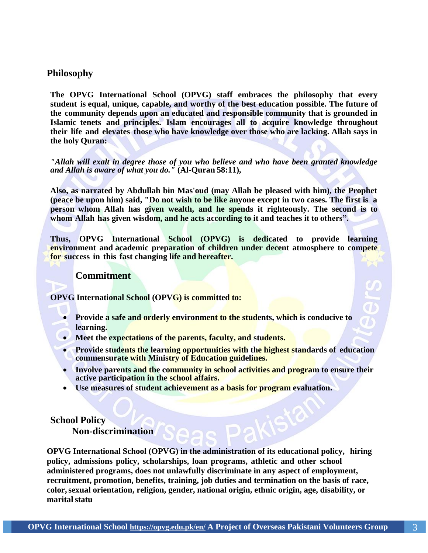### **Philosophy**

**The OPVG International School (OPVG) staff embraces the philosophy that every student is equal, unique, capable, and worthy of the best education possible. The future of the community depends upon an educated and responsible community that is grounded in Islamic tenets and principles. Islam encourages all to acquire knowledge throughout their life and elevates those who have knowledge over those who are lacking. Allah says in the holy Quran:**

*"Allah will exalt in degree those of you who believe and who have been granted knowledge and Allah is aware of what you do."* **(Al-Quran 58:11),**

**Also, as narrated by Abdullah bin Mas'oud (may Allah be pleased with him), the Prophet (peace be upon him) said, "Do not wish to be like anyone except in two cases. The first is a person whom Allah has given wealth, and he spends it righteously. The second is to whom Allah has given wisdom, and he acts according to it and teaches it to others".**

**Thus, OPVG International School (OPVG) is dedicated to provide learning environment and academic preparation of children under decent atmosphere to compete for success in this fast changing life and hereafter.**

#### **Commitment**

**OPVG International School (OPVG) is committed to:**

- **Provide a safe and orderly environment to the students, which is conducive to learning.**
- **Meet the expectations of the parents, faculty, and students.**
- **Provide students the learning opportunities with the highest standards of education commensurate with Ministry of Education guidelines.**
- **Involve parents and the community in school activities and program to ensure their active participation in the school affairs.**
- **Use measures of student achievement as a basis for program evaluation.**

# **School Policy Non-discrimination**

**OPVG International School (OPVG) in the administration of its educational policy, hiring policy, admissions policy, scholarships, loan programs, athletic and other school administered programs, does not unlawfully discriminate in any aspect of employment, recruitment, promotion, benefits, training, job duties and termination on the basis of race, color,sexual orientation, religion, gender, national origin, ethnic origin, age, disability, or maritalstatu**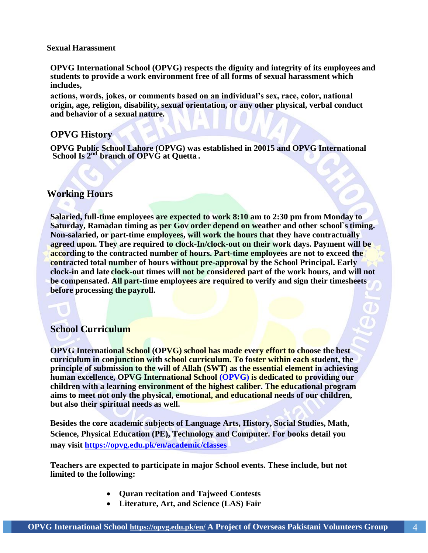#### **Sexual Harassment**

**OPVG International School (OPVG) respects the dignity and integrity of its employees and students to provide a work environment free of all forms of sexual harassment which includes,**

**actions, words, jokes, or comments based on an individual's sex, race, color, national origin, age, religion, disability, sexual orientation, or any other physical, verbal conduct and behavior of a sexual nature.**

#### **OPVG History**

**OPVG Public School Lahore (OPVG) was established in 20015 and OPVG International School Is 2 nd branch of OPVG at Quetta .**

#### **Working Hours**

**Salaried, full-time employees are expected to work 8:10 am to 2:30 pm from Monday to Saturday, Ramadan timing as per Gov order depend on weather and other school`stiming. Non-salaried, or part-time employees, will work the hours that they have contractually agreed upon. They are required to clock-In/clock-out on their work days. Payment will be according to the contracted number of hours. Part-time employees are not to exceed the contracted total number of hours without pre-approval by the School Principal. Early clock-in and late clock-out times will not be considered part of the work hours, and will not be compensated. All part-time employees are required to verify and sign their timesheets before processing the payroll.**

# **School Curriculum**

**OPVG International School (OPVG) school has made every effort to choose the best curriculum in conjunction with school curriculum. To foster within each student, the principle of submission to the will of Allah (SWT) as the essential element in achieving human excellence, OPVG International School (OPVG) is dedicated to providing our children with a learning environment of the highest caliber. The educational program aims to meet not only the physical, emotional, and educational needs of our children, but also their spiritual needs as well.**

**Besides the core academic subjects of Language Arts, History, Social Studies, Math, Science, Physical Education (PE), Technology and Computer. For books detail you may visit<https://opvg.edu.pk/en/academic/classes>**

**Teachers are expected to participate in major School events. These include, but not limited to the following:**

- **Quran recitation and Tajweed Contests**
- **Literature, Art, and Science (LAS) Fair**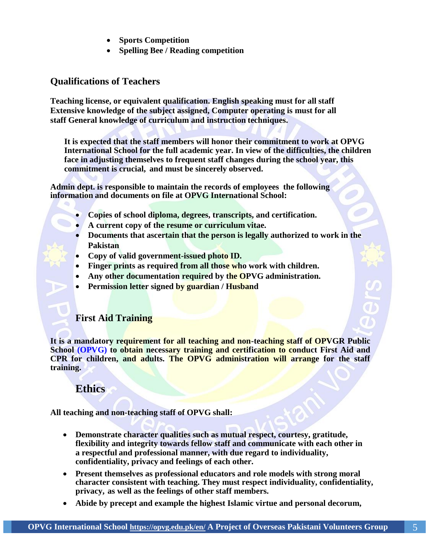- **Sports Competition**
- **Spelling Bee / Reading competition**

# **Qualifications of Teachers**

**Teaching license, or equivalent qualification. English speaking must for all staff Extensive knowledge of the subject assigned, Computer operating is must for all staff General knowledge of curriculum and instruction techniques.**

**It is expected that the staff members will honor their commitment to work at OPVG International School for the full academic year. In view of the difficulties, the children face in adjusting themselves to frequent staff changes during the school year, this commitment is crucial, and must be sincerely observed.**

**Admin dept. is responsible to maintain the records of employees the following information and documents on file at OPVG International School:**

- **Copies of school diploma, degrees, transcripts, and certification.**
- **A current copy of the resume or curriculum vitae.**
- **Documents that ascertain that the person is legally authorized to work in the Pakistan**
- **Copy of valid government-issued photo ID.**
- **Finger prints as required from all those who work with children.**
- **Any other documentation required by the OPVG administration.**
- **Permission letter signed by guardian / Husband**

# **First Aid Training**

**It is a mandatory requirement for all teaching and non-teaching staff of OPVGR Public School (OPVG) to obtain necessary training and certification to conduct First Aid and CPR for children, and adults. The OPVG administration will arrange for the staff training.**

# **Ethics**

**All teaching and non-teaching staff of OPVG shall:**

- **Demonstrate character qualities such as mutual respect, courtesy, gratitude, flexibility and integrity towards fellow staff and communicate with each other in a respectful and professional manner, with due regard to individuality, confidentiality, privacy and feelings of each other.**
- **Present themselves as professional educators and role models with strong moral character consistent with teaching. They must respect individuality, confidentiality, privacy, as well as the feelings of other staff members.**
- **Abide by precept and example the highest Islamic virtue and personal decorum,**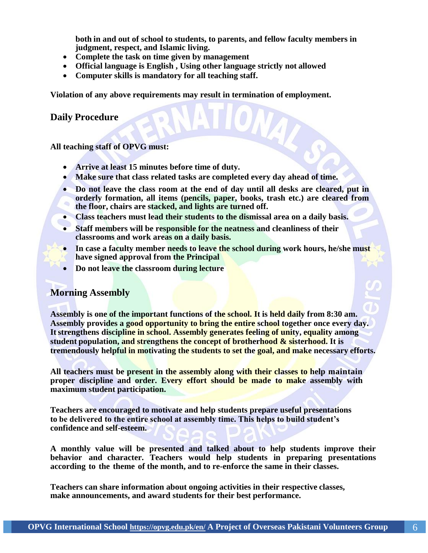**both in and out of school to students, to parents, and fellow faculty members in judgment, respect, and Islamic living.**

- **Complete the task on time given by management**
- **Official language is English , Using other language strictly not allowed**
- **Computer skills is mandatory for all teaching staff.**

**Violation of any above requirements may result in termination of employment.**

**Daily Procedure**

**All teaching staff of OPVG must:**

- **Arrive at least 15 minutes before time of duty.**
- **Make sure that class related tasks are completed every day ahead of time.**
- **Do not leave the class room at the end of day until all desks are cleared, put in orderly formation, all items (pencils, paper, books, trash etc.) are cleared from**   $\alpha$ **the floor, chairs are stacked, and lights are turned off.**
- **Class teachers must lead their students to the dismissal area on a daily basis.**
- **Staff members will be responsible for the neatness and cleanliness of their classrooms and work areas on a daily basis.**
- In case a faculty member needs to leave the school during work hours, he/she must **have signed approval from the Principal**
- **Do not leave the classroom during lecture**

# **Morning Assembly**

**Assembly is one of the important functions of the school. It is held daily from 8:30 am. Assembly provides a good opportunity to bring the entire school together once every day.**  It strengthens discipline in school. Assembly generates feeling of unity, equality among **student population, and strengthens the concept of brotherhood & sisterhood. It is tremendously helpful in motivating the students to set the goal, and make necessary efforts.**

**All teachers must be present in the assembly along with their classes to help maintain proper discipline and order. Every effort should be made to make assembly with maximum student participation.**

**Teachers are encouraged to motivate and help students prepare useful presentations to be delivered to the entire school at assembly time. This helps to build student's confidence and self-esteem.**

**A monthly value will be presented and talked about to help students improve their behavior and character. Teachers would help students in preparing presentations according to the theme of the month, and to re-enforce the same in their classes.**

**Teachers can share information about ongoing activities in their respective classes, make announcements, and award students for their best performance.**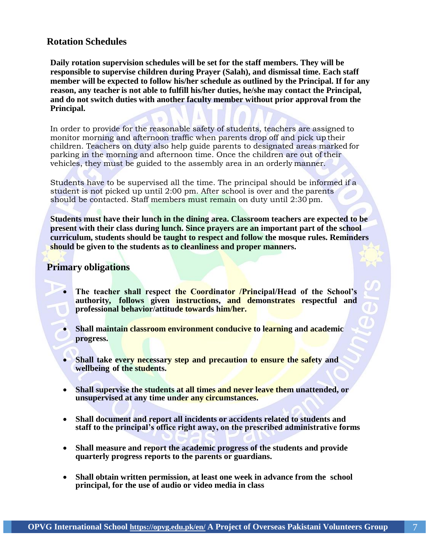# **Rotation Schedules**

**Daily rotation supervision schedules will be set for the staff members. They will be responsible to supervise children during Prayer (Salah), and dismissal time. Each staff member will be expected to follow his/her schedule as outlined by the Principal. If for any reason, any teacher is not able to fulfill his/her duties, he/she may contact the Principal, and do not switch duties with another faculty member without prior approval from the Principal.**

In order to provide for the reasonable safety of students, teachers are assigned to monitor morning and afternoon traffic when parents drop off and pick up their children. Teachers on duty also help guide parents to designated areas marked for parking in the morning and afternoon time. Once the children are out of their vehicles, they must be guided to the assembly area in an orderly manner.

Students have to be supervised all the time. The principal should be informed if a student is not picked up until 2:00 pm. After school is over and the parents should be contacted. Staff members must remain on duty until 2:30 pm.

**Students must have their lunch in the dining area. Classroom teachers are expected to be present with their class during lunch. Since prayers are an important part of the school curriculum, students should be taught to respect and follow the mosque rules. Reminders should be given to the students as to cleanliness and proper manners.**

# **Primary obligations**

- **The teacher shall respect the Coordinator /Principal/Head of the School's authority, follows given instructions, and demonstrates respectful and professional behavior/attitude towards him/her.**
- **Shall maintain classroom environment conducive to learning and academic progress.**
- **Shall take every necessary step and precaution to ensure the safety and wellbeing of the students.**
- **Shall supervise the students at all times and never leave them unattended, or unsupervised at any time under any circumstances.**
- **Shall document and report all incidents or accidents related to students and staff to the principal's office right away, on the prescribed administrative forms**
- **Shall measure and report the academic progress of the students and provide quarterly progress reports to the parents or guardians.**
- **Shall obtain written permission, at least one week in advance from the school principal, for the use of audio or video media in class**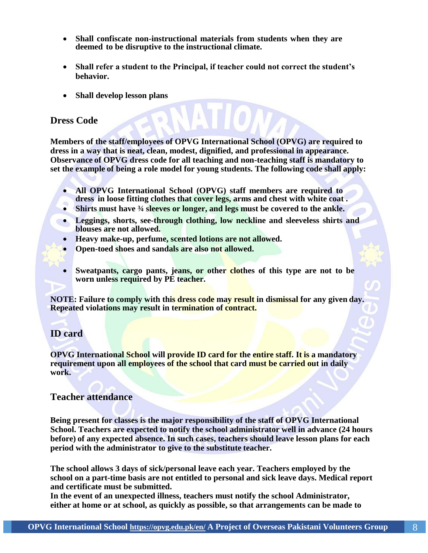- **Shall confiscate non-instructional materials from students when they are deemed to be disruptive to the instructional climate.**
- **Shall refer a student to the Principal, if teacher could not correct the student's behavior.**
- **Shall develop lesson plans**

# **Dress Code**

**Members of the staff/employees of OPVG International School (OPVG) are required to dress in a way that is neat, clean, modest, dignified, and professional in appearance. Observance of OPVG dress code for all teaching and non-teaching staff is mandatory to set the example of being a role model for young students. The following code shall apply:**

- **All OPVG International School (OPVG) staff members are required to dress in loose fitting clothes that cover legs, arms and chest with white coat .**
- **Shirts must have ¾ sleeves or longer, and legs must be covered to the ankle.**
- **Leggings, shorts, see-through clothing, low neckline and sleeveless shirts and blouses are not allowed.**
	- **Heavy make-up, perfume, scented lotions are not allowed.**
	- **Open-toed shoes and sandals are also not allowed.**
	- **Sweatpants, cargo pants, jeans, or other clothes of this type are not to be worn unless required by PE teacher.**

**NOTE: Failure to comply with this dress code may result in dismissal for any given day. Repeated violations may result in termination of contract.**

# **ID card**

**OPVG International School will provide ID card for the entire staff. It is a mandatory requirement upon all employees of the school that card must be carried out in daily work.**

# **Teacher attendance**

**Being present for classes is the major responsibility of the staff of OPVG International School. Teachers are expected to notify the school administrator well in advance (24 hours before) of any expected absence. In such cases, teachers should leave lesson plans for each period with the administrator to give to the substitute teacher.**

**The school allows 3 days of sick/personal leave each year. Teachers employed by the school on a part-time basis are not entitled to personal and sick leave days. Medical report and certificate must be submitted.**

**In the event of an unexpected illness, teachers must notify the school Administrator, either at home or at school, as quickly as possible, so that arrangements can be made to**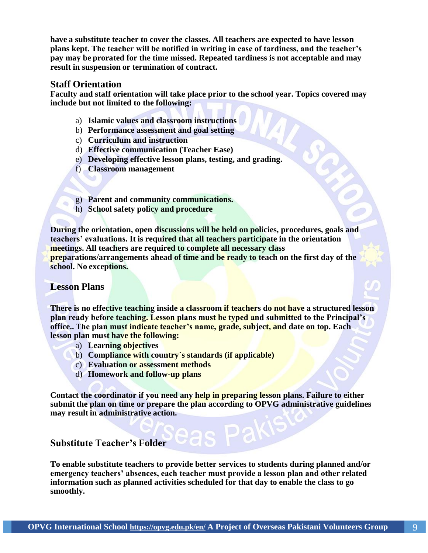**have a substitute teacher to cover the classes. All teachers are expected to have lesson plans kept. The teacher will be notified in writing in case of tardiness, and the teacher's pay may be prorated for the time missed. Repeated tardiness is not acceptable and may result in suspension or termination of contract.**

#### **Staff Orientation**

**Faculty and staff orientation will take place prior to the school year. Topics covered may include but not limited to the following:**

- a) **Islamic values and classroom instructions**
- b) **Performance assessment and goal setting**
- c) **Curriculum and instruction**
- d) **Effective communication (Teacher Ease)**
- e) **Developing effective lesson plans, testing, and grading.**
- f) **Classroom management**
- g) **Parent and community communications.**
- h) **School safety policy and procedure**

**During the orientation, open discussions will be held on policies, procedures, goals and teachers' evaluations. It is required that all teachers participate in the orientation meetings. All teachers are required to complete all necessary class preparations/arrangements ahead of time and be ready to teach on the first day of the school. No exceptions.**

# **Lesson Plans**

**There is no effective teaching inside a classroom if teachers do not have a structured lesson plan ready before teaching. Lesson plans must be typed and submitted to the Principal's office.. The plan must indicate teacher's name, grade, subject, and date on top. Each lesson plan must have the following:**

- a) **Learning objectives**
- b) **Compliance with country`s standards (if applicable)**
- c) **Evaluation or assessment methods**
- d) **Homework and follow-up plans**

**Contact the coordinator if you need any help in preparing lesson plans. Failure to either submit the plan on time or prepare the plan according to OPVG administrative guidelines may result in administrative action.**

# **Substitute Teacher's Folder**

**To enable substitute teachers to provide better services to students during planned and/or emergency teachers' absences, each teacher must provide a lesson plan and other related information such as planned activities scheduled for that day to enable the class to go smoothly.**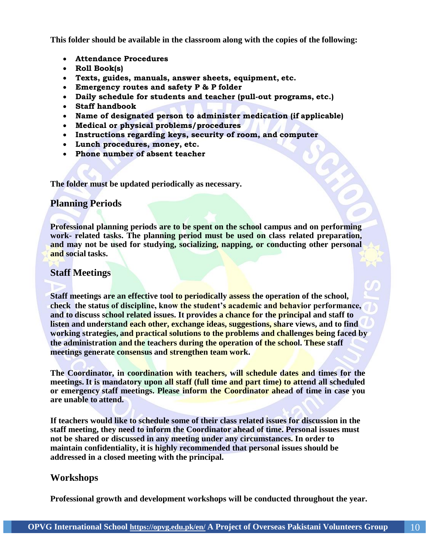**This folder should be available in the classroom along with the copies of the following:**

- **Attendance Procedures**
- **Roll Book(s)**
- **Texts, guides, manuals, answer sheets, equipment, etc.**
- **Emergency routes and safety P & P folder**
- **Daily schedule for students and teacher (pull-out programs, etc.)**
- **Staff handbook**
- **Name of designated person to administer medication (if applicable)**
- **Medical or physical problems/procedures**
- **Instructions regarding keys, security of room, and computer**
- **Lunch procedures, money, etc.**
- **Phone number of absent teacher**

**The folder must be updated periodically as necessary.**

#### **Planning Periods**

**Professional planning periods are to be spent on the school campus and on performing work- related tasks. The planning period must be used on class related preparation, and may not be used for studying, socializing, napping, or conducting other personal and social tasks.**

### **Staff Meetings**

**Staff meetings are an effective tool to periodically assess the operation of the school, check the status of discipline, know the student's academic and behavior performance, and to discuss school related issues. It provides a chance for the principal and staff to listen and understand each other, exchange ideas, suggestions, share views, and to find working strategies, and practical solutions to the problems and challenges being faced by the administration and the teachers during the operation of the school. These staff meetings generate consensus and strengthen team work.**

**The Coordinator, in coordination with teachers, will schedule dates and times for the meetings. It is mandatory upon all staff (full time and part time) to attend all scheduled or emergency staff meetings. Please inform the Coordinator ahead of time in case you are unable to attend.**

**If teachers would like to schedule some of their class related issues for discussion in the staff meeting, they need to inform the Coordinator ahead of time. Personal issues must not be shared or discussed in any meeting under any circumstances. In order to maintain confidentiality, it is highly recommended that personal issues should be addressed in a closed meeting with the principal.**

#### **Workshops**

**Professional growth and development workshops will be conducted throughout the year.**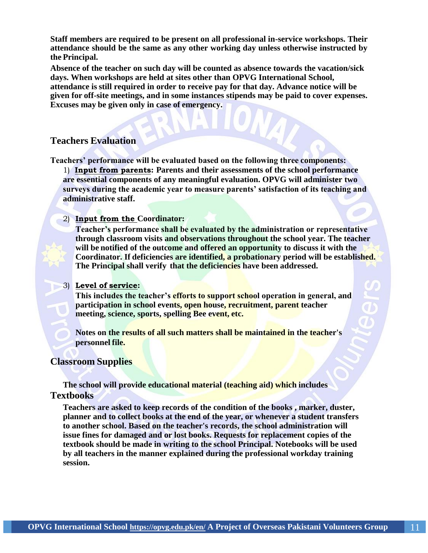**Staff members are required to be present on all professional in-service workshops. Their attendance should be the same as any other working day unless otherwise instructed by the Principal.**

**Absence of the teacher on such day will be counted as absence towards the vacation/sick days. When workshops are held at sites other than OPVG International School, attendance is still required in order to receive pay for that day. Advance notice will be given for off-site meetings, and in some instances stipends may be paid to cover expenses. Excuses may be given only in case of emergency.**

# **Teachers Evaluation**

**Teachers' performance will be evaluated based on the following three components:**

1) **Input from parents: Parents and their assessments of the school performance are essential components of any meaningful evaluation. OPVG will administer two surveys during the academic year to measure parents' satisfaction of its teaching and administrative staff.**

#### 2) **Input from the Coordinator:**

**Teacher's performance shall be evaluated by the administration or representative through classroom visits and observations throughout the school year. The teacher will be notified of the outcome and offered an opportunity to discuss it with the Coordinator. If deficiencies are identified, a probationary period will be established. The Principal shall verify that the deficiencies have been addressed.**

#### 3) **Level of service:**

**This includes the teacher's efforts to support school operation in general, and participation in school events, open house, recruitment, parent teacher meeting, science, sports, spelling Bee event, etc.**

**Notes on the results of all such matters shall be maintained in the teacher's personnel file.**

#### **Classroom Supplies**

**The school will provide educational material (teaching aid) which includes Textbooks**

**Teachers are asked to keep records of the condition of the books , marker, duster, planner and to collect books at the end of the year, or whenever a student transfers to another school. Based on the teacher's records, the school administration will issue fines for damaged and or lost books. Requests for replacement copies of the textbook should be made in writing to the school Principal. Notebooks will be used by all teachers in the manner explained during the professional workday training session.**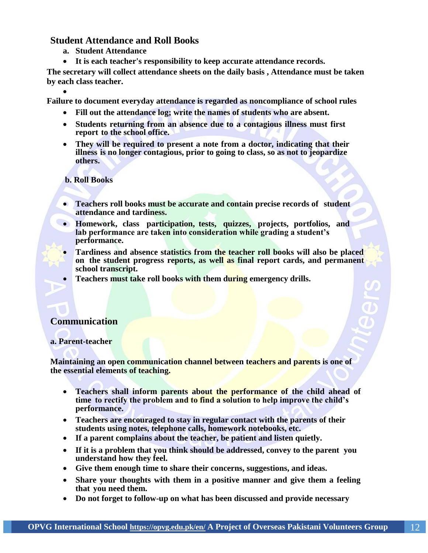# **Student Attendance and Roll Books**

- **a. Student Attendance**
- **It is each teacher's responsibility to keep accurate attendance records.**

**The secretary will collect attendance sheets on the daily basis , Attendance must be taken by each class teacher.**

 $\bullet$ **Failure to document everyday attendance is regarded as noncompliance of school rules**

- **Fill out the attendance log; write the names of students who are absent.**
- **Students returning from an absence due to a contagious illness must first report to the school office.**
- **They will be required to present a note from a doctor, indicating that their illness is no longer contagious, prior to going to class, so as not to jeopardize others.**

**b. Roll Books**

- **Teachers roll books must be accurate and contain precise records of student attendance and tardiness.**
- **Homework, class participation, tests, quizzes, projects, portfolios, and lab performance are taken into consideration while grading a student's performance.**
	- **Tardiness and absence statistics from the teacher roll books will also be placed on the student progress reports, as well as final report cards, and permanent school transcript.**
	- **Teachers must take roll books with them during emergency drills.**

# **Communication**

#### **a. Parent-teacher**

**Maintaining an open communication channel between teachers and parents is one of the essential elements of teaching.**

- **Teachers shall inform parents about the performance of the child ahead of time to rectify the problem and to find a solution to help improve the child's performance.**
- **Teachers are encouraged to stay in regular contact with the parents of their students using notes, telephone calls, homework notebooks, etc.**
- **If a parent complains about the teacher, be patient and listen quietly.**
- **If it is a problem that you think should be addressed, convey to the parent you understand how they feel.**
- **Give them enough time to share their concerns, suggestions, and ideas.**
- **Share your thoughts with them in a positive manner and give them a feeling that you need them.**
- **Do not forget to follow-up on what has been discussed and provide necessary**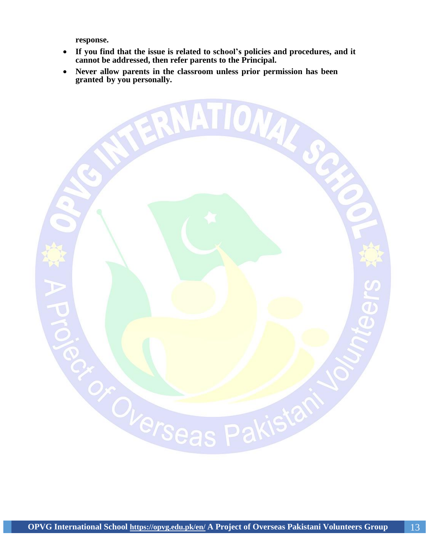**response.**

- **If you find that the issue is related to school's policies and procedures, and it cannot be addressed, then refer parents to the Principal.**
- **Never allow parents in the classroom unless prior permission has been**

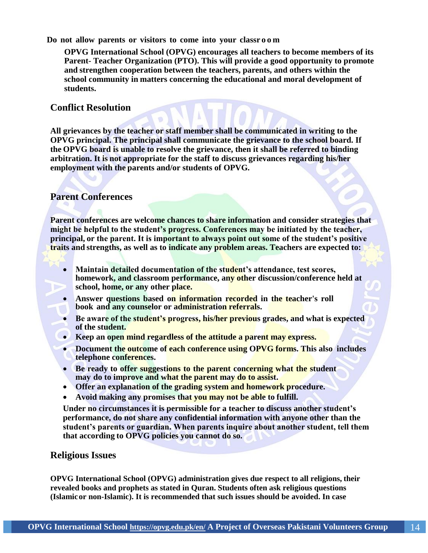**Do not allow parents or visitors to come into your classr o o m**

**OPVG International School (OPVG) encourages all teachers to become members of its Parent- Teacher Organization (PTO). This will provide a good opportunity to promote and strengthen cooperation between the teachers, parents, and others within the school community in matters concerning the educational and moral development of students.**

# **Conflict Resolution**

**All grievances by the teacher or staff member shall be communicated in writing to the OPVG principal. The principal shall communicate the grievance to the school board. If the OPVG board is unable to resolve the grievance, then it shall be referred to binding arbitration. It is not appropriate for the staff to discuss grievances regarding his/her employment with the parents and/or students of OPVG.**

#### **Parent Conferences**

**Parent conferences are welcome chances to share information and consider strategies that might be helpful to the student's progress. Conferences may be initiated by the teacher, principal, or the parent. It is important to always point out some of the student's positive traits and strengths, as well as to indicate any problem areas. Teachers are expected to:**

- **Maintain detailed documentation of the student's attendance, test scores, homework, and classroom performance, any other discussion/conference held at school, home, or any other place.**
- **Answer questions based on information recorded in the teacher's roll book and any counselor or administration referrals.**
- **Be aware of the student's progress, his/her previous grades, and what is expected of the student.**
- **Keep an open mind regardless of the attitude a parent may express.**
- **Document the outcome of each conference using OPVG forms. This also includes telephone conferences.**
- **Be ready to offer suggestions to the parent concerning what the student may do to improve and what the parent may do to assist.**
- **Offer an explanation of the grading system and homework procedure.**
- **Avoid making any promises that you may not be able to fulfill.**

**Under no circumstances it is permissible for a teacher to discuss another student's performance, do not share any confidential information with anyone other than the student's parents or guardian. When parents inquire about another student, tell them that according to OPVG policies you cannot do so.**

# **Religious Issues**

**OPVG International School (OPVG) administration gives due respect to all religions, their revealed books and prophets as stated in Quran. Students often ask religious questions (Islamicor non-Islamic). It is recommended that such issues should be avoided. In case**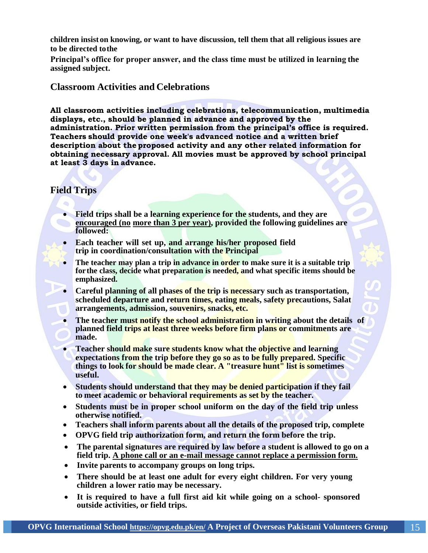**children insist on knowing, or want to have discussion, tell them that all religious issues are to be directed tothe**

**Principal's office for proper answer, and the class time must be utilized in learning the assigned subject.**

# **Classroom Activities and Celebrations**

**All classroom activities including celebrations, telecommunication, multimedia displays, etc., should be planned in advance and approved by the administration. Prior written permission from the principal's office is required. Teachers should provide one week's advanced notice and a written brief description about the proposed activity and any other related information for obtaining necessary approval. All movies must be approved by school principal at least 3 days in advance.**

# **Field Trips**

- **Field trips shall be a learning experience for the students, and they are encouraged (no more than 3 per year), provided the following guidelines are followed:**
- **Each teacher will set up, and arrange his/her proposed field trip in coordination/consultation with the Principal**
- **The teacher may plan a trip in advance in order to make sure it is a suitable trip forthe class, decide what preparation is needed, and what specific items should be emphasized.**
- **Careful planning of all phases of the trip is necessary such as transportation, scheduled departure and return times, eating meals, safety precautions, Salat arrangements, admission, souvenirs, snacks, etc.**
- **The teacher must notify the school administration in writing about the details of planned field trips at least three weeks before firm plans or commitments are made.**
- **Teacher should make sure students know what the objective and learning expectations from the trip before they go so as to be fully prepared. Specific things to look for should be made clear. A "treasure hunt" list is sometimes useful.**
- **Students should understand that they may be denied participation if they fail to meet academic or behavioral requirements as set by the teacher.**
- **Students must be in proper school uniform on the day of the field trip unless otherwise notified.**
- **Teachers shall inform parents about all the details of the proposed trip, complete**
- **OPVG field trip authorization form, and return the form before the trip.**
- **The parental signatures are required by law before a student is allowed to go on a field trip. A phone call or an e-mail message cannot replace a permission form.**
- **Invite parents to accompany groups on long trips.**
- **There should be at least one adult for every eight children. For very young children a lower ratio may be necessary.**
- **It is required to have a full first aid kit while going on a school- sponsored outside activities, or field trips.**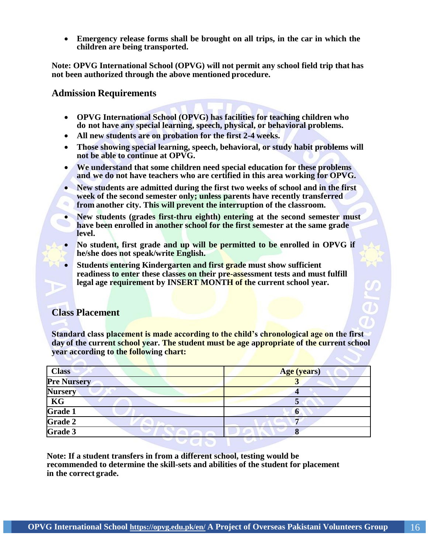**Emergency release forms shall be brought on all trips, in the car in which the children are being transported.**

**Note: OPVG International School (OPVG) will not permit any school field trip that has not been authorized through the above mentioned procedure.**

#### **Admission Requirements**

- **OPVG International School (OPVG) has facilities for teaching children who do not have any special learning, speech, physical, or behavioral problems.**
- **All new students are on probation for the first 2-4 weeks.**
- **Those showing special learning, speech, behavioral, or study habit problems will not be able to continue at OPVG.**
- **We understand that some children need special education for these problems and we do not have teachers who are certified in this area working for OPVG.**
- **New students are admitted during the first two weeks of school and in the first week of the second semester only; unless parents have recently transferred**  衙 **from another city. This will prevent the interruption of the classroom.**
- **New students (grades first-thru eighth) entering at the second semester must have been enrolled in another school for the first semester at the same grade level.**
- **No student, first grade and up will be permitted to be enrolled in OPVG if he/she does not speak/write English.**
- **Students entering Kindergarten and first grade must show sufficient readiness to enter these classes on their pre-assessment tests and must fulfill legal age requirement by INSERT MONTH of the current school year.**

# **Class Placement**

**Standard class placement is made according to the child's chronological age on the first day of the current school year. The student must be age appropriate of the current school year according to the following chart:**

| <b>Class</b>             | Age (years) |
|--------------------------|-------------|
| <b>Pre Nursery</b>       | ◡           |
| <b>Nursery</b>           |             |
| $\overline{\textbf{KG}}$ |             |
| Grade 1                  | O           |
| Grade 2                  |             |
| Grade 3                  |             |
|                          |             |

**Note: If a student transfers in from a different school, testing would be recommended to determine the skill-sets and abilities of the student for placement in the correct grade.**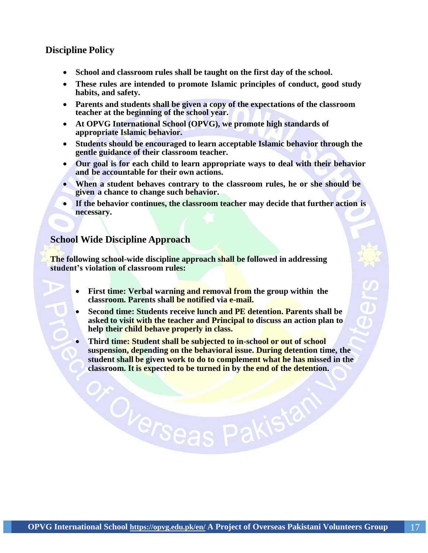# **Discipline Policy**

- **School and classroom rules shall be taught on the first day of the school.**
- **These rules are intended to promote Islamic principles of conduct, good study habits, and safety.**
- **Parents and students shall be given a copy of the expectations of the classroom teacher at the beginning of the school year.**
- **At OPVG International School (OPVG), we promote high standards of appropriate Islamic behavior.**
- **Students should be encouraged to learn acceptable Islamic behavior through the gentle guidance of their classroom teacher.**
- **Our goal is for each child to learn appropriate ways to deal with their behavior and be accountable for their own actions.**
- **When a student behaves contrary to the classroom rules, he or she should be given a chance to change such behavior.**
- **If the behavior continues, the classroom teacher may decide that further action is necessary.**

# **School Wide Discipline Approach**

**The following school-wide discipline approach shall be followed in addressing student's violation of classroom rules:**

- **First time: Verbal warning and removal from the group within the classroom. Parents shall be notified via e-mail.**
- **Second time: Students receive lunch and PE detention. Parents shall be asked to visit with the teacher and Principal to discuss an action plan to help their child behave properly in class.**
- **Third time: Student shall be subjected to in-school or out of school suspension, depending on the behavioral issue. During detention time, the student shall be given work to do to complement what he has missed in the classroom. It is expected to be turned in by the end of the detention.**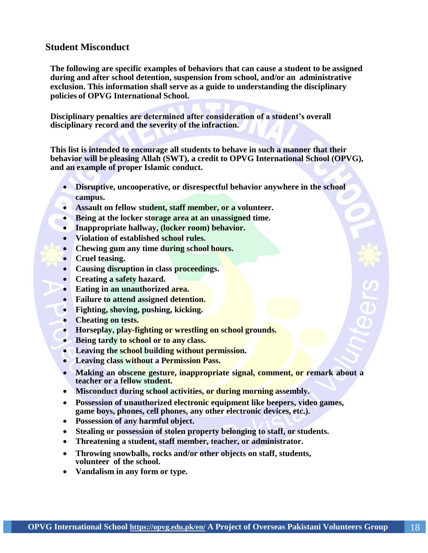# **Student Misconduct**

**The following are specific examples of behaviors that can cause a student to be assigned during and after school detention, suspension from school, and/or an administrative exclusion. This information shall serve as a guide to understanding the disciplinary policies of OPVG International School.**

**Disciplinary penalties are determined after consideration of a student's overall disciplinary record and the severity of the infraction.**

**This list is intended to encourage all students to behave in such a manner that their behavior will be pleasing Allah (SWT), a credit to OPVG International School (OPVG), and an example of proper Islamic conduct.**

- **Disruptive, uncooperative, or disrespectful behavior anywhere in the school campus.**
- **Assault on fellow student, staff member, or a volunteer.**
- **Being at the locker storage area at an unassigned time.**
- **Inappropriate hallway, (locker room) behavior.**
- **Violation of established school rules.**
- **Chewing gum any time during school hours.**
- **Cruel teasing.**
- **Causing disruption in class proceedings.**
- **Creating a safety hazard.**
- **Eating in an unauthorized area.**
- **Failure to attend assigned detention.**
- **Fighting, shoving, pushing, kicking.**
- **Cheating on tests.**
- **Horseplay, play-fighting or wrestling on school grounds.**
- **Being tardy to school or to any class.**
- **Leaving the school building without permission.**
- **Leaving class without a Permission Pass.**
- **Making an obscene gesture, inappropriate signal, comment, or remark about a teacher or a fellow student.**
- **Misconduct during school activities, or during morning assembly.**
- **Possession of unauthorized electronic equipment like beepers, video games, game boys, phones, cell phones, any other electronic devices, etc.).**
- **Possession of any harmful object.**
- **Stealing or possession of stolen property belonging to staff, or students.**
- **Threatening a student, staff member, teacher, or administrator.**
- **Throwing snowballs, rocks and/or other objects on staff, students, volunteer of the school.**
- **Vandalism in any form or type.**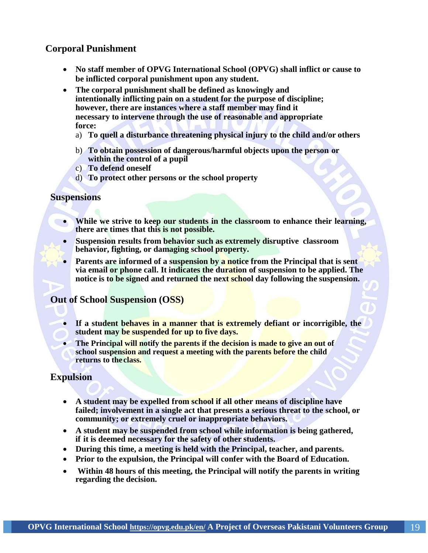# **Corporal Punishment**

- **No staff member of OPVG International School (OPVG) shall inflict or cause to be inflicted corporal punishment upon any student.**
- **The corporal punishment shall be defined as knowingly and intentionally inflicting pain on a student for the purpose of discipline; however, there are instances where a staff member may find it necessary to intervene through the use of reasonable and appropriate force:**
	- a) **To quell a disturbance threatening physical injury to the child and/or others**
	- b) **To obtain possession of dangerous/harmful objects upon the person or within the control of a pupil**
	- c) **To defend oneself**
	- d) **To protect other persons or the school property**

#### **Suspensions**

- **While we strive to keep our students in the classroom to enhance their learning, there are times that this is not possible.**
	- **Suspension results from behavior such as extremely disruptive classroom behavior, fighting, or damaging school property.**
	- **Parents are informed of a suspension by a notice from the Principal that is sent via email or phone call. It indicates the duration of suspension to be applied. The notice is to be signed and returned the next school day following the suspension.**

# **Out of School Suspension (OSS)**

- **If a student behaves in a manner that is extremely defiant or incorrigible, the student may be suspended for up to five days.**
- The Principal will notify the parents if the decision is made to give an out of **school suspension and request a meeting with the parents before the child returns to the class.**

# **Expulsion**

- **A student may be expelled from school if all other means of discipline have failed; involvement in a single act that presents a serious threat to the school, or community; or extremely cruel or inappropriate behaviors.**
- **A student may be suspended from school while information is being gathered, if it is deemed necessary for the safety of other students.**
- **During this time, a meeting is held with the Principal, teacher, and parents.**
- **Prior to the expulsion, the Principal will confer with the Board of Education.**
- **Within 48 hours of this meeting, the Principal will notify the parents in writing regarding the decision.**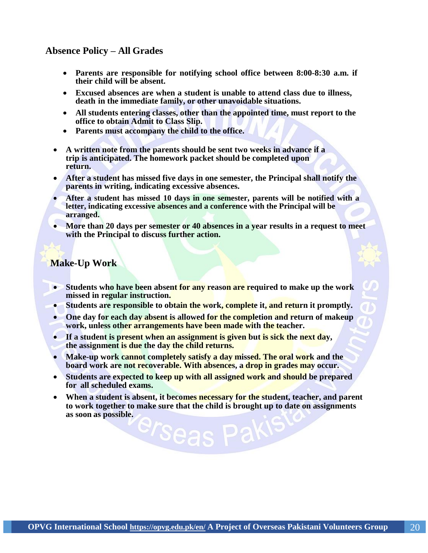# **Absence Policy – All Grades**

- **Parents are responsible for notifying school office between 8:00-8:30 a.m. if their child will be absent.**
- **Excused absences are when a student is unable to attend class due to illness, death in the immediate family, or other unavoidable situations.**
- **All students entering classes, other than the appointed time, must report to the office to obtain Admit to Class Slip.**
- **Parents must accompany the child to the office.**
- **A written note from the parents should be sent two weeks in advance if a trip is anticipated. The homework packet should be completed upon return.**
- **After a student has missed five days in one semester, the Principal shall notify the parents in writing, indicating excessive absences.**
- **After a student has missed 10 days in one semester, parents will be notified with a letter, indicating excessive absences and a conference with the Principal will be arranged.**
- **More than 20 days per semester or 40 absences in a year results in a request to meet with the Principal to discuss further action.**

# **Make-Up Work**

- **Students who have been absent for any reason are required to make up the work missed in regular instruction.**
- **Students are responsible to obtain the work, complete it, and return it promptly.**
- **One day for each day absent is allowed for the completion and return of makeup work, unless other arrangements have been made with the teacher.**
- **If a student is present when an assignment is given but is sick the next day, the assignment is due the day the child returns.**

drseas

- **Make-up work cannot completely satisfy a day missed. The oral work and the board work are not recoverable. With absences, a drop in grades may occur.**
- **Students are expected to keep up with all assigned work and should be prepared for all scheduled exams.**
- **When a student is absent, it becomes necessary for the student, teacher, and parent to work together to make sure that the child is brought up to date on assignments as soon as possible.**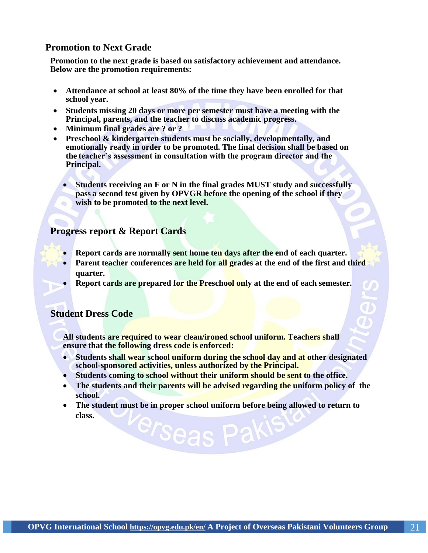# **Promotion to Next Grade**

**Promotion to the next grade is based on satisfactory achievement and attendance. Below are the promotion requirements:**

- **Attendance at school at least 80% of the time they have been enrolled for that school year.**
- **Students missing 20 days or more per semester must have a meeting with the Principal, parents, and the teacher to discuss academic progress.**
- **Minimum final grades are ? or ?**
- **Preschool & kindergarten students must be socially, developmentally, and emotionally ready in order to be promoted. The final decision shall be based on the teacher's assessment in consultation with the program director and the Principal.**
	- **Students receiving an F or N in the final grades MUST study and successfully pass a second test given by OPVGR before the opening of the school if they wish to be promoted to the next level.** a,

# **Progress report & Report Cards**

- **Report cards are normally sent home ten days after the end of each quarter.**
- **Parent teacher conferences are held for all grades at the end of the first and third quarter.**
- **Report cards are prepared for the Preschool only at the end of each semester.**

# **Student Dress Code**

**All students are required to wear clean/ironed school uniform. Teachers shall ensure that the following dress code is enforced:**

- **Students shall wear school uniform during the school day and at other designated school-sponsored activities, unless authorized by the Principal.**
- **Students coming to school without their uniform should be sent to the office.**
- **The students and their parents will be advised regarding the uniform policy of the school.**
- **The student must be in proper school uniform before being allowed to return to class.**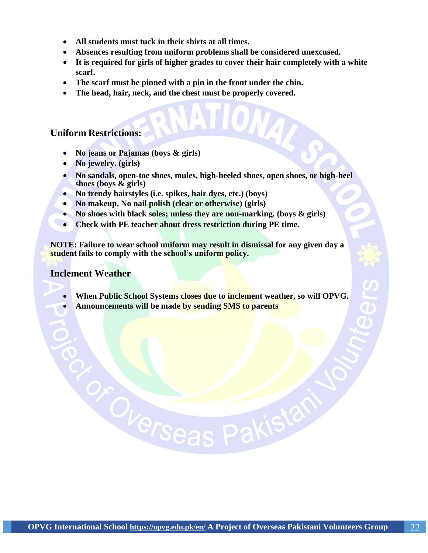- **All students must tuck in their shirts at all times.**
- **Absences resulting from uniform problems shall be considered unexcused.**
- **It is required for girls of higher grades to cover their hair completely with a white scarf.**
- **The scarf must be pinned with a pin in the front under the chin.**
- **The head, hair, neck, and the chest must be properly covered.**

# **Uniform Restrictions:**

- **No jeans or Pajamas (boys & girls)**
- **No jewelry. (girls)**
- **No sandals, open-toe shoes, mules, high-heeled shoes, open shoes, or high-heel shoes (boys & girls)**
- **No trendy hairstyles (i.e. spikes, hair dyes, etc.) (boys)**
- **No makeup, No nail polish (clear or otherwise) (girls)**
- **No shoes with black soles; unless they are non-marking. (boys & girls)**
- **Check with PE teacher about dress restriction during PE time.**

**NOTE: Failure to wear school uniform may result in dismissal for any given day a student fails to comply with the school's uniform policy.**

# **Inclement Weather**

- **When Public School Systems closes due to inclement weather, so will OPVG.**
- **Announcements will be made by sending SMS to parents**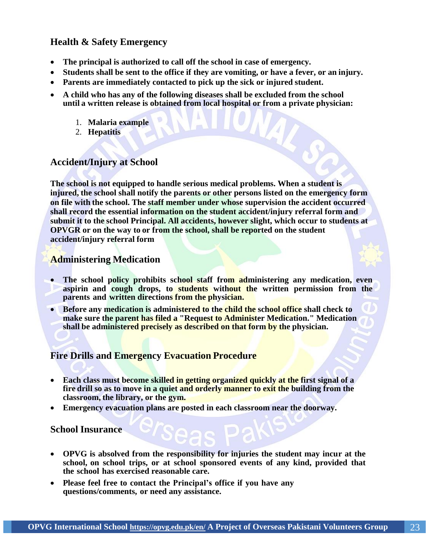# **Health & Safety Emergency**

- **The principal is authorized to call off the school in case of emergency.**
- **Students shall be sent to the office if they are vomiting, or have a fever, or an injury.**
- **Parents are immediately contacted to pick up the sick or injured student.**
- **A child who has any of the following diseases shall be excluded from the school until a written release is obtained from local hospital or from a private physician:**
	- 1. **Malaria example**
	- 2. **Hepatitis**

#### **Accident/Injury at School**

**The school is not equipped to handle serious medical problems. When a student is injured, the school shall notify the parents or other persons listed on the emergency form on file with the school. The staff member under whose supervision the accident occurred shall record the essential information on the student accident/injury referral form and submit it to the school Principal. All accidents, however slight, which occur to students at OPVGR or on the way to or from the school, shall be reported on the student accident/injury referral form**

# **Administering Medication**

- **The school policy prohibits school staff from administering any medication, even aspirin and cough drops, to students without the written permission from the parents and written directions from the physician.**
- **Before any medication is administered to the child the school office shall check to make sure the parent has filed a "Request to Administer Medication." Medication shall be administered precisely as described on that form by the physician.**

# **Fire Drills and Emergency Evacuation Procedure**

- **Each class must become skilled in getting organized quickly at the first signal of a fire drill so as to move in a quiet and orderly manner to exit the building from the classroom, the library, or the gym.**
- **Emergency evacuation plans are posted in each classroom near the doorway.**

**School Insurance**

- **OPVG is absolved from the responsibility for injuries the student may incur at the school, on school trips, or at school sponsored events of any kind, provided that the school has exercised reasonable care.**
- **Please feel free to contact the Principal's office if you have any questions/comments, or need any assistance.**